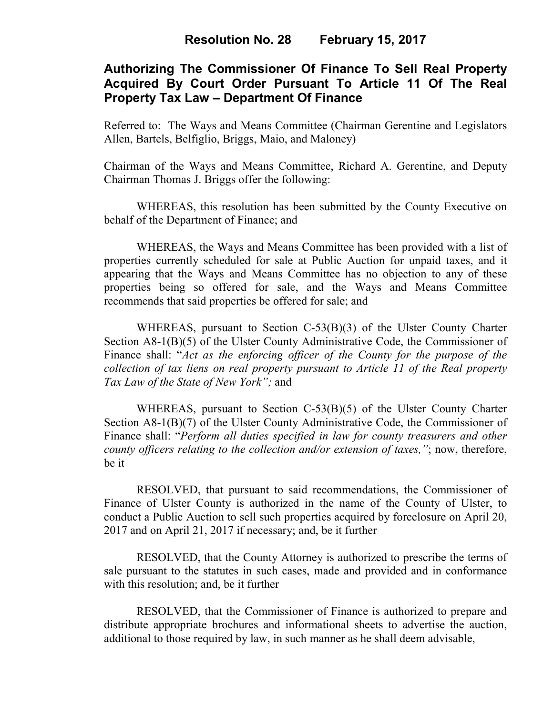# **Authorizing The Commissioner Of Finance To Sell Real Property Acquired By Court Order Pursuant To Article 11 Of The Real Property Tax Law – Department Of Finance**

Referred to: The Ways and Means Committee (Chairman Gerentine and Legislators Allen, Bartels, Belfiglio, Briggs, Maio, and Maloney)

Chairman of the Ways and Means Committee, Richard A. Gerentine, and Deputy Chairman Thomas J. Briggs offer the following:

WHEREAS, this resolution has been submitted by the County Executive on behalf of the Department of Finance; and

 WHEREAS, the Ways and Means Committee has been provided with a list of properties currently scheduled for sale at Public Auction for unpaid taxes, and it appearing that the Ways and Means Committee has no objection to any of these properties being so offered for sale, and the Ways and Means Committee recommends that said properties be offered for sale; and

 WHEREAS, pursuant to Section C-53(B)(3) of the Ulster County Charter Section A8-1(B)(5) of the Ulster County Administrative Code, the Commissioner of Finance shall: "*Act as the enforcing officer of the County for the purpose of the collection of tax liens on real property pursuant to Article 11 of the Real property Tax Law of the State of New York";* and

 WHEREAS, pursuant to Section C-53(B)(5) of the Ulster County Charter Section A8-1(B)(7) of the Ulster County Administrative Code, the Commissioner of Finance shall: "*Perform all duties specified in law for county treasurers and other county officers relating to the collection and/or extension of taxes,"*; now, therefore, be it

RESOLVED, that pursuant to said recommendations, the Commissioner of Finance of Ulster County is authorized in the name of the County of Ulster, to conduct a Public Auction to sell such properties acquired by foreclosure on April 20, 2017 and on April 21, 2017 if necessary; and, be it further

RESOLVED, that the County Attorney is authorized to prescribe the terms of sale pursuant to the statutes in such cases, made and provided and in conformance with this resolution; and, be it further

 RESOLVED, that the Commissioner of Finance is authorized to prepare and distribute appropriate brochures and informational sheets to advertise the auction, additional to those required by law, in such manner as he shall deem advisable,